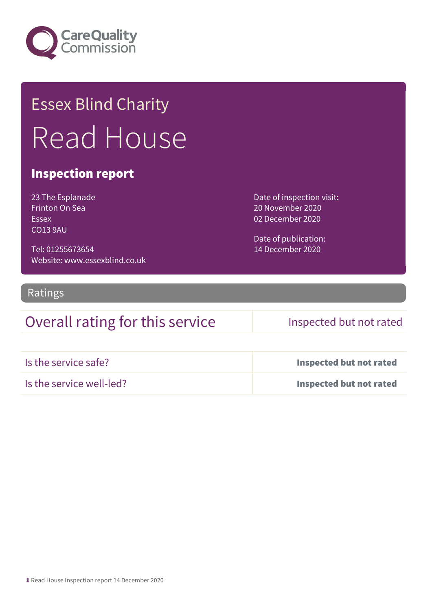

# Essex Blind Charity Read House

## Inspection report

23 The Esplanade Frinton On Sea Essex CO13 9AU

Tel: 01255673654 Website: www.essexblind.co.uk Date of inspection visit: 20 November 2020 02 December 2020

Date of publication: 14 December 2020

## Ratings

## Overall rating for this service Inspected but not rated

| Is the service safe?     | Inspected but not rated |
|--------------------------|-------------------------|
| Is the service well-led? | Inspected but not rated |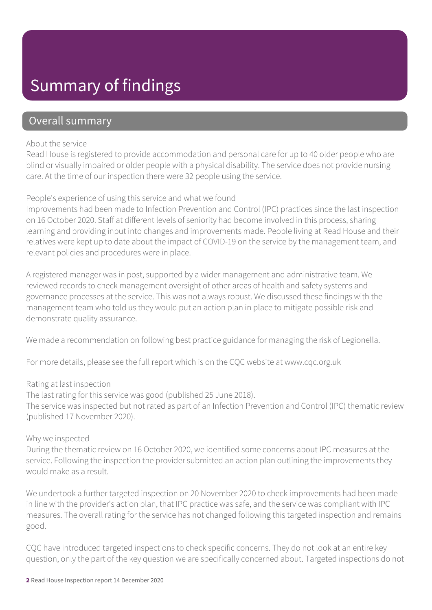# Summary of findings

## Overall summary

### About the service

Read House is registered to provide accommodation and personal care for up to 40 older people who are blind or visually impaired or older people with a physical disability. The service does not provide nursing care. At the time of our inspection there were 32 people using the service.

## People's experience of using this service and what we found

Improvements had been made to Infection Prevention and Control (IPC) practices since the last inspection on 16 October 2020. Staff at different levels of seniority had become involved in this process, sharing learning and providing input into changes and improvements made. People living at Read House and their relatives were kept up to date about the impact of COVID-19 on the service by the management team, and relevant policies and procedures were in place.

A registered manager was in post, supported by a wider management and administrative team. We reviewed records to check management oversight of other areas of health and safety systems and governance processes at the service. This was not always robust. We discussed these findings with the management team who told us they would put an action plan in place to mitigate possible risk and demonstrate quality assurance.

We made a recommendation on following best practice guidance for managing the risk of Legionella.

For more details, please see the full report which is on the CQC website at www.cqc.org.uk

## Rating at last inspection

The last rating for this service was good (published 25 June 2018).

The service was inspected but not rated as part of an Infection Prevention and Control (IPC) thematic review (published 17 November 2020).

### Why we inspected

During the thematic review on 16 October 2020, we identified some concerns about IPC measures at the service. Following the inspection the provider submitted an action plan outlining the improvements they would make as a result.

We undertook a further targeted inspection on 20 November 2020 to check improvements had been made in line with the provider's action plan, that IPC practice was safe, and the service was compliant with IPC measures. The overall rating for the service has not changed following this targeted inspection and remains good.

CQC have introduced targeted inspections to check specific concerns. They do not look at an entire key question, only the part of the key question we are specifically concerned about. Targeted inspections do not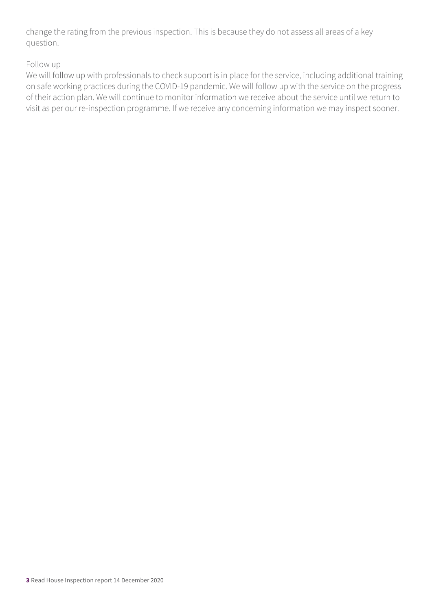change the rating from the previous inspection. This is because they do not assess all areas of a key question.

## Follow up

We will follow up with professionals to check support is in place for the service, including additional training on safe working practices during the COVID-19 pandemic. We will follow up with the service on the progress of their action plan. We will continue to monitor information we receive about the service until we return to visit as per our re-inspection programme. If we receive any concerning information we may inspect sooner.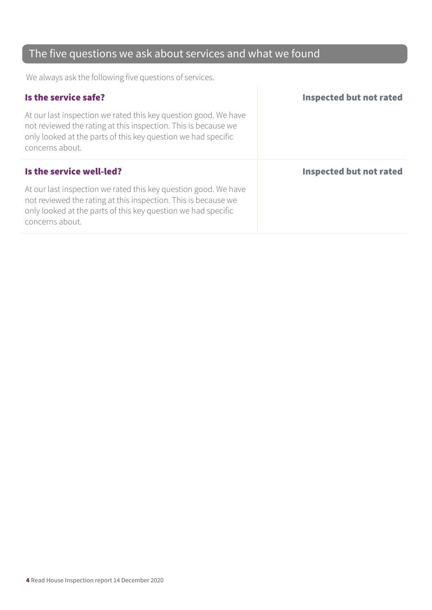# The five questions we ask about services and what we found

We always ask the following five questions of services.

| Is the service safe?                                                                                                                                                                                                  | <b>Inspected but not rated</b> |
|-----------------------------------------------------------------------------------------------------------------------------------------------------------------------------------------------------------------------|--------------------------------|
| At our last inspection we rated this key question good. We have<br>not reviewed the rating at this inspection. This is because we<br>only looked at the parts of this key question we had specific<br>concerns about. |                                |
|                                                                                                                                                                                                                       |                                |
| Is the service well-led?                                                                                                                                                                                              | <b>Inspected but not rated</b> |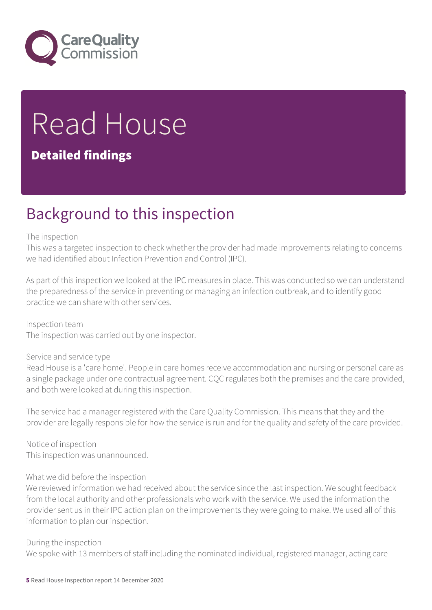

# Read House

## Detailed findings

# Background to this inspection

### The inspection

This was a targeted inspection to check whether the provider had made improvements relating to concerns we had identified about Infection Prevention and Control (IPC).

As part of this inspection we looked at the IPC measures in place. This was conducted so we can understand the preparedness of the service in preventing or managing an infection outbreak, and to identify good practice we can share with other services.

Inspection team The inspection was carried out by one inspector.

### Service and service type

Read House is a 'care home'. People in care homes receive accommodation and nursing or personal care as a single package under one contractual agreement. CQC regulates both the premises and the care provided, and both were looked at during this inspection.

The service had a manager registered with the Care Quality Commission. This means that they and the provider are legally responsible for how the service is run and for the quality and safety of the care provided.

Notice of inspection This inspection was unannounced.

### What we did before the inspection

We reviewed information we had received about the service since the last inspection. We sought feedback from the local authority and other professionals who work with the service. We used the information the provider sent us in their IPC action plan on the improvements they were going to make. We used all of this information to plan our inspection.

During the inspection

We spoke with 13 members of staff including the nominated individual, registered manager, acting care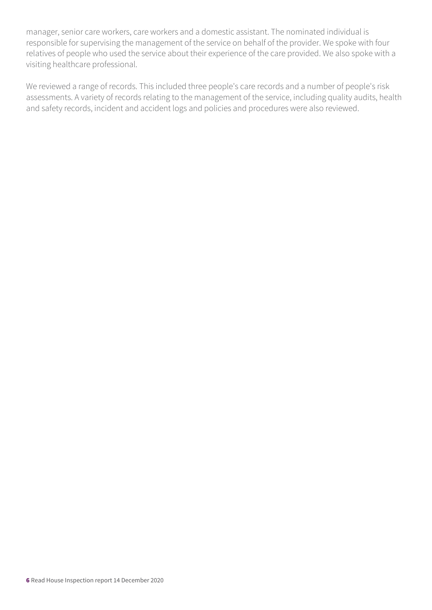manager, senior care workers, care workers and a domestic assistant. The nominated individual is responsible for supervising the management of the service on behalf of the provider. We spoke with four relatives of people who used the service about their experience of the care provided. We also spoke with a visiting healthcare professional.

We reviewed a range of records. This included three people's care records and a number of people's risk assessments. A variety of records relating to the management of the service, including quality audits, health and safety records, incident and accident logs and policies and procedures were also reviewed.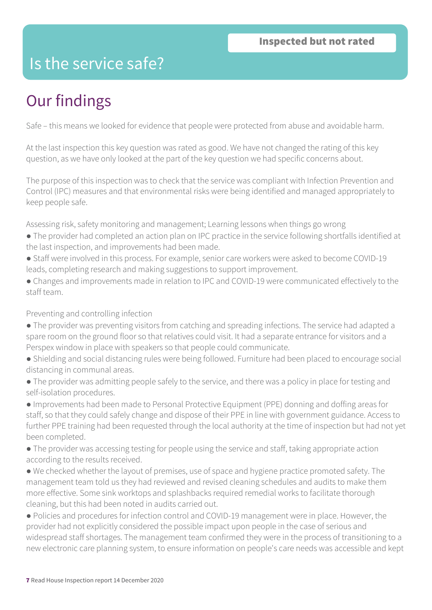# Is the service safe?

# Our findings

Safe – this means we looked for evidence that people were protected from abuse and avoidable harm.

At the last inspection this key question was rated as good. We have not changed the rating of this key question, as we have only looked at the part of the key question we had specific concerns about.

The purpose of this inspection was to check that the service was compliant with Infection Prevention and Control (IPC) measures and that environmental risks were being identified and managed appropriately to keep people safe.

Assessing risk, safety monitoring and management; Learning lessons when things go wrong

- The provider had completed an action plan on IPC practice in the service following shortfalls identified at the last inspection, and improvements had been made.
- Staff were involved in this process. For example, senior care workers were asked to become COVID-19 leads, completing research and making suggestions to support improvement.
- Changes and improvements made in relation to IPC and COVID-19 were communicated effectively to the staff team.

## Preventing and controlling infection

- The provider was preventing visitors from catching and spreading infections. The service had adapted a spare room on the ground floor so that relatives could visit. It had a separate entrance for visitors and a Perspex window in place with speakers so that people could communicate.
- Shielding and social distancing rules were being followed. Furniture had been placed to encourage social distancing in communal areas.
- The provider was admitting people safely to the service, and there was a policy in place for testing and self-isolation procedures.
- Improvements had been made to Personal Protective Equipment (PPE) donning and doffing areas for staff, so that they could safely change and dispose of their PPE in line with government guidance. Access to further PPE training had been requested through the local authority at the time of inspection but had not yet been completed.
- The provider was accessing testing for people using the service and staff, taking appropriate action according to the results received.
- We checked whether the layout of premises, use of space and hygiene practice promoted safety. The management team told us they had reviewed and revised cleaning schedules and audits to make them more effective. Some sink worktops and splashbacks required remedial works to facilitate thorough cleaning, but this had been noted in audits carried out.
- Policies and procedures for infection control and COVID-19 management were in place. However, the provider had not explicitly considered the possible impact upon people in the case of serious and widespread staff shortages. The management team confirmed they were in the process of transitioning to a new electronic care planning system, to ensure information on people's care needs was accessible and kept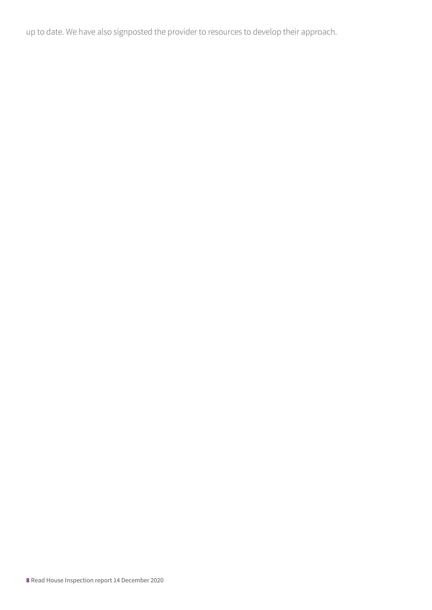up to date. We have also signposted the provider to resources to develop their approach.